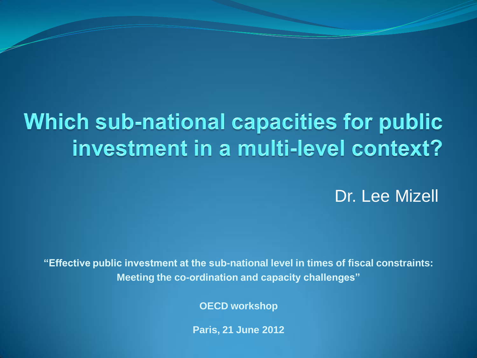# Which sub-national capacities for public investment in a multi-level context?

Dr. Lee Mizell

**"Effective public investment at the sub-national level in times of fiscal constraints: Meeting the co-ordination and capacity challenges"**

**OECD workshop**

**Paris, 21 June 2012**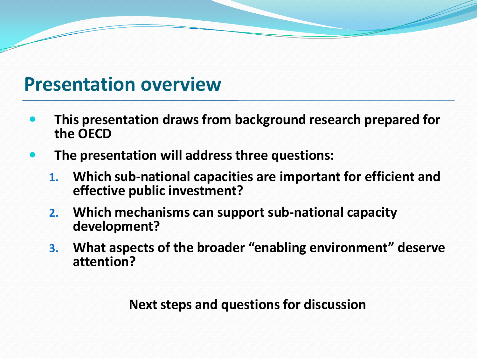## **Presentation overview**

- **This presentation draws from background research prepared for the OECD**
- **The presentation will address three questions:**
	- **1. Which sub-national capacities are important for efficient and effective public investment?**
	- **2. Which mechanisms can support sub-national capacity development?**
	- **3. What aspects of the broader "enabling environment" deserve attention?**

**Next steps and questions for discussion**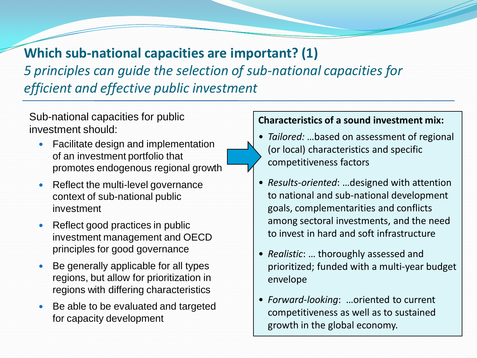## **Which sub-national capacities are important? (1)** *5 principles can guide the selection of sub-national capacities for efficient and effective public investment*

Sub-national capacities for public investment should:

- Facilitate design and implementation of an investment portfolio that promotes endogenous regional growth
- Reflect the multi-level governance context of sub-national public investment
- Reflect good practices in public investment management and OECD principles for good governance
- Be generally applicable for all types regions, but allow for prioritization in regions with differing characteristics
- Be able to be evaluated and targeted for capacity development

#### **Characteristics of a sound investment mix:**

- *Tailored:* …based on assessment of regional (or local) characteristics and specific competitiveness factors
- *Results-oriented*: …designed with attention to national and sub-national development goals, complementarities and conflicts among sectoral investments, and the need to invest in hard and soft infrastructure
- *Realistic*: … thoroughly assessed and prioritized; funded with a multi-year budget envelope
- *Forward-looking*: …oriented to current competitiveness as well as to sustained growth in the global economy.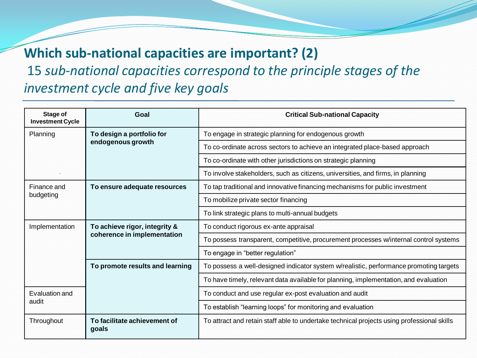# **Which sub-national capacities are important? (2)**

15 *sub-national capacities correspond to the principle stages of the investment cycle and five key goals*

| <b>Stage of</b><br><b>Investment Cycle</b> | Goal                                                         | <b>Critical Sub-national Capacity</b>                                                      |
|--------------------------------------------|--------------------------------------------------------------|--------------------------------------------------------------------------------------------|
| Planning                                   | To design a portfolio for<br>endogenous growth               | To engage in strategic planning for endogenous growth                                      |
|                                            |                                                              | To co-ordinate across sectors to achieve an integrated place-based approach                |
|                                            |                                                              | To co-ordinate with other jurisdictions on strategic planning                              |
|                                            |                                                              | To involve stakeholders, such as citizens, universities, and firms, in planning            |
| Finance and<br>budgeting                   | To ensure adequate resources                                 | To tap traditional and innovative financing mechanisms for public investment               |
|                                            |                                                              | To mobilize private sector financing                                                       |
|                                            |                                                              | To link strategic plans to multi-annual budgets                                            |
| Implementation                             | To achieve rigor, integrity &<br>coherence in implementation | To conduct rigorous ex-ante appraisal                                                      |
|                                            |                                                              | To possess transparent, competitive, procurement processes w/internal control systems      |
|                                            |                                                              | To engage in "better regulation"                                                           |
|                                            | To promote results and learning                              | To possess a well-designed indicator system w/realistic, performance promoting targets     |
|                                            |                                                              | To have timely, relevant data available for planning, implementation, and evaluation       |
| Evaluation and<br>audit                    |                                                              | To conduct and use regular ex-post evaluation and audit                                    |
|                                            |                                                              | To establish "learning loops" for monitoring and evaluation                                |
| Throughout                                 | To facilitate achievement of<br>goals                        | To attract and retain staff able to undertake technical projects using professional skills |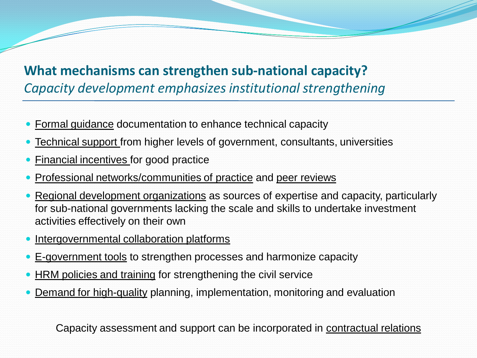## **What mechanisms can strengthen sub-national capacity?** *Capacity development emphasizes institutional strengthening*

- Formal guidance documentation to enhance technical capacity
- Technical support from higher levels of government, consultants, universities
- Financial incentives for good practice
- Professional networks/communities of practice and peer reviews
- Regional development organizations as sources of expertise and capacity, particularly for sub-national governments lacking the scale and skills to undertake investment activities effectively on their own
- Intergovernmental collaboration platforms
- E-government tools to strengthen processes and harmonize capacity
- HRM policies and training for strengthening the civil service
- Demand for high-quality planning, implementation, monitoring and evaluation

Capacity assessment and support can be incorporated in contractual relations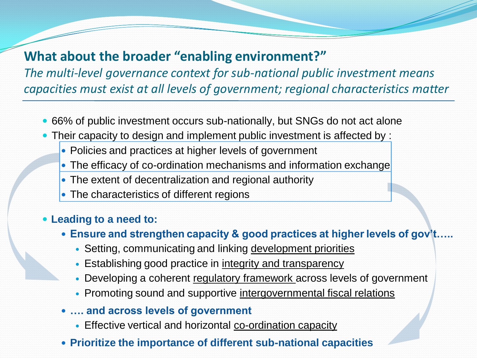### **What about the broader "enabling environment?"**

*The multi-level governance context for sub-national public investment means capacities must exist at all levels of government; regional characteristics matter*

- 66% of public investment occurs sub-nationally, but SNGs do not act alone
- Their capacity to design and implement public investment is affected by :
	- Policies and practices at higher levels of government
	- The efficacy of co-ordination mechanisms and information exchange
	- The extent of decentralization and regional authority
	- The characteristics of different regions

### **Leading to a need to:**

- **Ensure and strengthen capacity & good practices at higher levels of gov't.** 
	- Setting, communicating and linking development priorities
	- Establishing good practice in integrity and transparency
	- Developing a coherent regulatory framework across levels of government
	- Promoting sound and supportive intergovernmental fiscal relations
- **…. and across levels of government**
	- Effective vertical and horizontal co-ordination capacity
- **Prioritize the importance of different sub-national capacities**